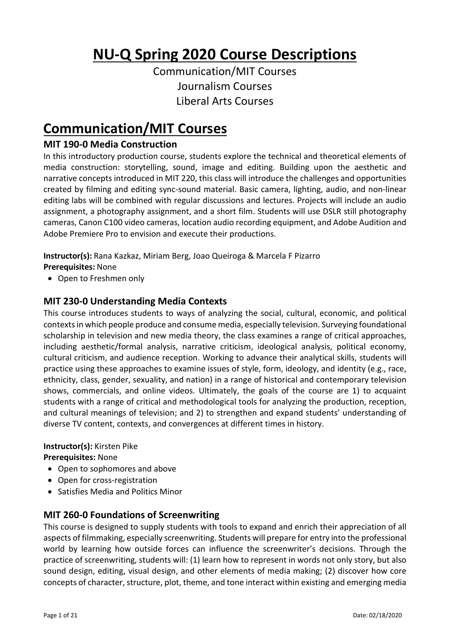# **NU-Q Spring 2020 Course Descriptions**

Communication/MIT Courses Journalism Courses Liberal Arts Courses

# **Communication/MIT Courses**

## **MIT 190-0 Media Construction**

In this introductory production course, students explore the technical and theoretical elements of media construction: storytelling, sound, image and editing. Building upon the aesthetic and narrative concepts introduced in MIT 220, this class will introduce the challenges and opportunities created by filming and editing sync-sound material. Basic camera, lighting, audio, and non-linear editing labs will be combined with regular discussions and lectures. Projects will include an audio assignment, a photography assignment, and a short film. Students will use DSLR still photography cameras, Canon C100 video cameras, location audio recording equipment, and Adobe Audition and Adobe Premiere Pro to envision and execute their productions.

**Instructor(s):** Rana Kazkaz, Miriam Berg, Joao Queiroga & Marcela F Pizarro **Prerequisites:** None

• Open to Freshmen only

## **MIT 230-0 Understanding Media Contexts**

This course introduces students to ways of analyzing the social, cultural, economic, and political contexts in which people produce and consume media, especially television. Surveying foundational scholarship in television and new media theory, the class examines a range of critical approaches, including aesthetic/formal analysis, narrative criticism, ideological analysis, political economy, cultural criticism, and audience reception. Working to advance their analytical skills, students will practice using these approaches to examine issues of style, form, ideology, and identity (e.g., race, ethnicity, class, gender, sexuality, and nation) in a range of historical and contemporary television shows, commercials, and online videos. Ultimately, the goals of the course are 1) to acquaint students with a range of critical and methodological tools for analyzing the production, reception, and cultural meanings of television; and 2) to strengthen and expand students' understanding of diverse TV content, contexts, and convergences at different times in history.

#### **Instructor(s):** Kirsten Pike

**Prerequisites:** None

- Open to sophomores and above
- Open for cross-registration
- Satisfies Media and Politics Minor

## **MIT 260-0 Foundations of Screenwriting**

This course is designed to supply students with tools to expand and enrich their appreciation of all aspects of filmmaking, especially screenwriting. Students will prepare for entry into the professional world by learning how outside forces can influence the screenwriter's decisions. Through the practice of screenwriting, students will: (1) learn how to represent in words not only story, but also sound design, editing, visual design, and other elements of media making; (2) discover how core concepts of character, structure, plot, theme, and tone interact within existing and emerging media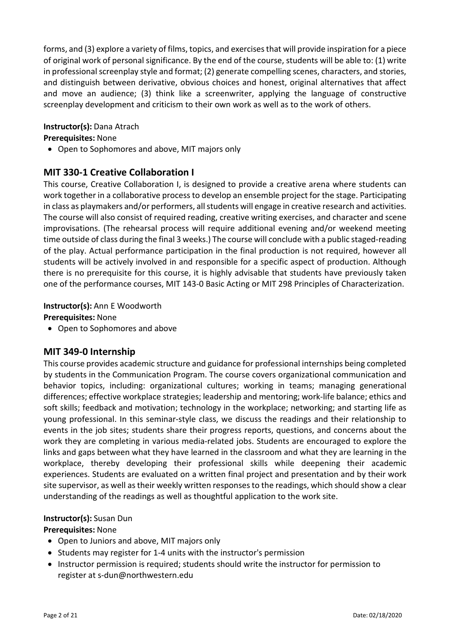forms, and (3) explore a variety of films, topics, and exercises that will provide inspiration for a piece of original work of personal significance. By the end of the course, students will be able to: (1) write in professional screenplay style and format; (2) generate compelling scenes, characters, and stories, and distinguish between derivative, obvious choices and honest, original alternatives that affect and move an audience; (3) think like a screenwriter, applying the language of constructive screenplay development and criticism to their own work as well as to the work of others.

#### **Instructor(s):** Dana Atrach

#### **Prerequisites:** None

• Open to Sophomores and above, MIT majors only

## **MIT 330-1 Creative Collaboration I**

This course, Creative Collaboration I, is designed to provide a creative arena where students can work together in a collaborative process to develop an ensemble project for the stage. Participating in class as playmakers and/or performers, all students will engage in creative research and activities. The course will also consist of required reading, creative writing exercises, and character and scene improvisations. (The rehearsal process will require additional evening and/or weekend meeting time outside of class during the final 3 weeks.) The course will conclude with a public staged-reading of the play. Actual performance participation in the final production is not required, however all students will be actively involved in and responsible for a specific aspect of production. Although there is no prerequisite for this course, it is highly advisable that students have previously taken one of the performance courses, MIT 143-0 Basic Acting or MIT 298 Principles of Characterization.

#### **Instructor(s):** Ann E Woodworth

**Prerequisites:** None

• Open to Sophomores and above

## **MIT 349-0 Internship**

This course provides academic structure and guidance for professional internships being completed by students in the Communication Program. The course covers organizational communication and behavior topics, including: organizational cultures; working in teams; managing generational differences; effective workplace strategies; leadership and mentoring; work-life balance; ethics and soft skills; feedback and motivation; technology in the workplace; networking; and starting life as young professional. In this seminar-style class, we discuss the readings and their relationship to events in the job sites; students share their progress reports, questions, and concerns about the work they are completing in various media-related jobs. Students are encouraged to explore the links and gaps between what they have learned in the classroom and what they are learning in the workplace, thereby developing their professional skills while deepening their academic experiences. Students are evaluated on a written final project and presentation and by their work site supervisor, as well as their weekly written responses to the readings, which should show a clear understanding of the readings as well as thoughtful application to the work site.

#### **Instructor(s):** Susan Dun

#### **Prerequisites:** None

- Open to Juniors and above, MIT majors only
- Students may register for 1-4 units with the instructor's permission
- Instructor permission is required; students should write the instructor for permission to register at s-dun@northwestern.edu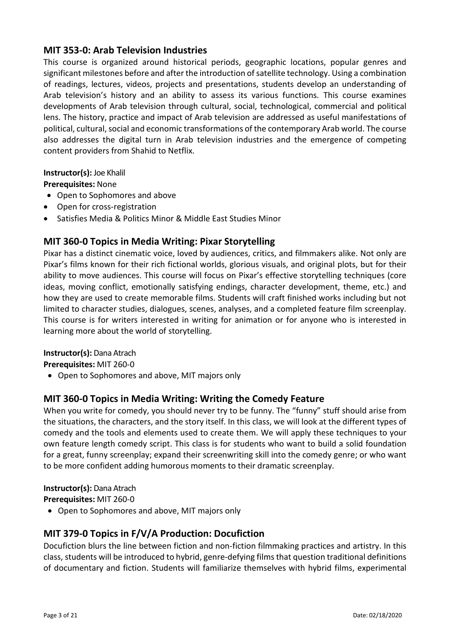## **MIT 353-0: Arab Television Industries**

This course is organized around historical periods, geographic locations, popular genres and significant milestones before and after the introduction of satellite technology. Using a combination of readings, lectures, videos, projects and presentations, students develop an understanding of Arab television's history and an ability to assess its various functions. This course examines developments of Arab television through cultural, social, technological, commercial and political lens. The history, practice and impact of Arab television are addressed as useful manifestations of political, cultural, social and economic transformations of the contemporary Arab world. The course also addresses the digital turn in Arab television industries and the emergence of competing content providers from Shahid to Netflix.

#### **Instructor(s):** Joe Khalil

**Prerequisites:** None

- Open to Sophomores and above
- Open for cross-registration
- Satisfies Media & Politics Minor & Middle East Studies Minor

## **MIT 360-0 Topics in Media Writing: Pixar Storytelling**

Pixar has a distinct cinematic voice, loved by audiences, critics, and filmmakers alike. Not only are Pixar's films known for their rich fictional worlds, glorious visuals, and original plots, but for their ability to move audiences. This course will focus on Pixar's effective storytelling techniques (core ideas, moving conflict, emotionally satisfying endings, character development, theme, etc.) and how they are used to create memorable films. Students will craft finished works including but not limited to character studies, dialogues, scenes, analyses, and a completed feature film screenplay. This course is for writers interested in writing for animation or for anyone who is interested in learning more about the world of storytelling.

#### **Instructor(s):** Dana Atrach

**Prerequisites:** MIT 260-0

• Open to Sophomores and above, MIT majors only

## **MIT 360-0 Topics in Media Writing: Writing the Comedy Feature**

When you write for comedy, you should never try to be funny. The "funny" stuff should arise from the situations, the characters, and the story itself. In this class, we will look at the different types of comedy and the tools and elements used to create them. We will apply these techniques to your own feature length comedy script. This class is for students who want to build a solid foundation for a great, funny screenplay; expand their screenwriting skill into the comedy genre; or who want to be more confident adding humorous moments to their dramatic screenplay.

**Instructor(s):** Dana Atrach

**Prerequisites:** MIT 260-0

• Open to Sophomores and above, MIT majors only

## **MIT 379-0 Topics in F/V/A Production: Docufiction**

Docufiction blurs the line between fiction and non-fiction filmmaking practices and artistry. In this class, students will be introduced to hybrid, genre-defying films that question traditional definitions of documentary and fiction. Students will familiarize themselves with hybrid films, experimental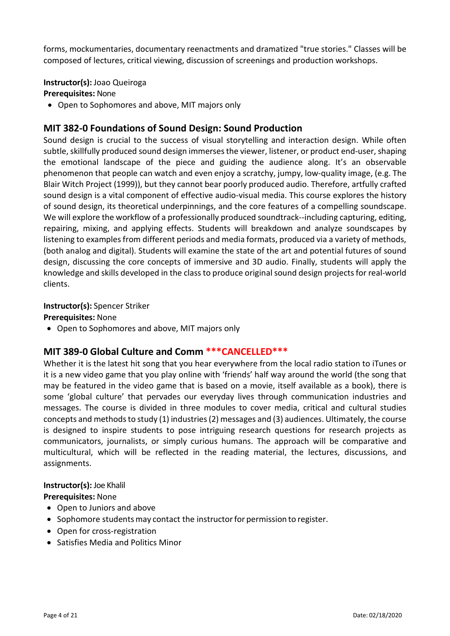forms, mockumentaries, documentary reenactments and dramatized "true stories." Classes will be composed of lectures, critical viewing, discussion of screenings and production workshops.

**Instructor(s):** Joao Queiroga

**Prerequisites:** None

• Open to Sophomores and above, MIT majors only

## **MIT 382-0 Foundations of Sound Design: Sound Production**

Sound design is crucial to the success of visual storytelling and interaction design. While often subtle, skillfully produced sound design immerses the viewer, listener, or product end-user, shaping the emotional landscape of the piece and guiding the audience along. It's an observable phenomenon that people can watch and even enjoy a scratchy, jumpy, low-quality image, (e.g. The Blair Witch Project (1999)), but they cannot bear poorly produced audio. Therefore, artfully crafted sound design is a vital component of effective audio-visual media. This course explores the history of sound design, its theoretical underpinnings, and the core features of a compelling soundscape. We will explore the workflow of a professionally produced soundtrack--including capturing, editing, repairing, mixing, and applying effects. Students will breakdown and analyze soundscapes by listening to examples from different periods and media formats, produced via a variety of methods, (both analog and digital). Students will examine the state of the art and potential futures of sound design, discussing the core concepts of immersive and 3D audio. Finally, students will apply the knowledge and skills developed in the class to produce original sound design projects for real-world clients.

#### **Instructor(s):** Spencer Striker

#### **Prerequisites:** None

• Open to Sophomores and above, MIT majors only

## **MIT 389-0 Global Culture and Comm \*\*\*CANCELLED\*\*\***

Whether it is the latest hit song that you hear everywhere from the local radio station to iTunes or it is a new video game that you play online with 'friends' half way around the world (the song that may be featured in the video game that is based on a movie, itself available as a book), there is some 'global culture' that pervades our everyday lives through communication industries and messages. The course is divided in three modules to cover media, critical and cultural studies concepts and methods to study (1) industries (2) messages and (3) audiences. Ultimately, the course is designed to inspire students to pose intriguing research questions for research projects as communicators, journalists, or simply curious humans. The approach will be comparative and multicultural, which will be reflected in the reading material, the lectures, discussions, and assignments.

#### **Instructor(s):** Joe Khalil

**Prerequisites:** None

- Open to Juniors and above
- Sophomore students may contact the instructor for permission to register.
- Open for cross-registration
- Satisfies Media and Politics Minor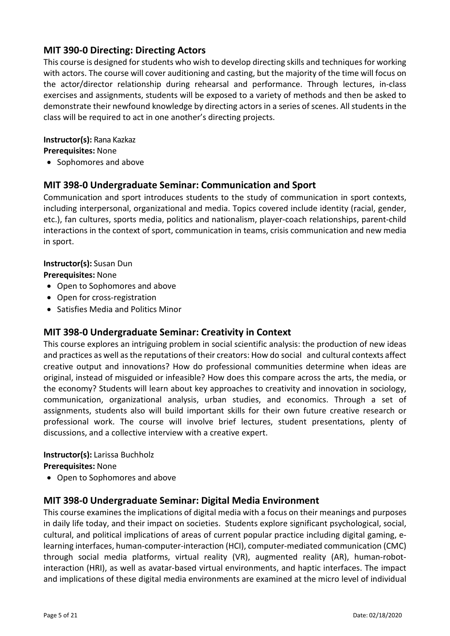## **MIT 390-0 Directing: Directing Actors**

This course is designed for students who wish to develop directing skills and techniques for working with actors. The course will cover auditioning and casting, but the majority of the time will focus on the actor/director relationship during rehearsal and performance. Through lectures, in-class exercises and assignments, students will be exposed to a variety of methods and then be asked to demonstrate their newfound knowledge by directing actors in a series of scenes. All students in the class will be required to act in one another's directing projects.

#### **Instructor(s):** Rana Kazkaz

**Prerequisites:** None

• Sophomores and above

## **MIT 398-0 Undergraduate Seminar: Communication and Sport**

Communication and sport introduces students to the study of communication in sport contexts, including interpersonal, organizational and media. Topics covered include identity (racial, gender, etc.), fan cultures, sports media, politics and nationalism, player-coach relationships, parent-child interactions in the context of sport, communication in teams, crisis communication and new media in sport.

## **Instructor(s):** Susan Dun

**Prerequisites:** None

- Open to Sophomores and above
- Open for cross-registration
- Satisfies Media and Politics Minor

## **MIT 398-0 Undergraduate Seminar: Creativity in Context**

This course explores an intriguing problem in social scientific analysis: the production of new ideas and practices as well as the reputations of their creators: How do social and cultural contexts affect creative output and innovations? How do professional communities determine when ideas are original, instead of misguided or infeasible? How does this compare across the arts, the media, or the economy? Students will learn about key approaches to creativity and innovation in sociology, communication, organizational analysis, urban studies, and economics. Through a set of assignments, students also will build important skills for their own future creative research or professional work. The course will involve brief lectures, student presentations, plenty of discussions, and a collective interview with a creative expert.

**Instructor(s):** Larissa Buchholz

**Prerequisites:** None

• Open to Sophomores and above

## **MIT 398-0 Undergraduate Seminar: Digital Media Environment**

This course examines the implications of digital media with a focus on their meanings and purposes in daily life today, and their impact on societies. Students explore significant psychological, social, cultural, and political implications of areas of current popular practice including digital gaming, elearning interfaces, human-computer-interaction (HCI), computer-mediated communication (CMC) through social media platforms, virtual reality (VR), augmented reality (AR), human-robotinteraction (HRI), as well as avatar-based virtual environments, and haptic interfaces. The impact and implications of these digital media environments are examined at the micro level of individual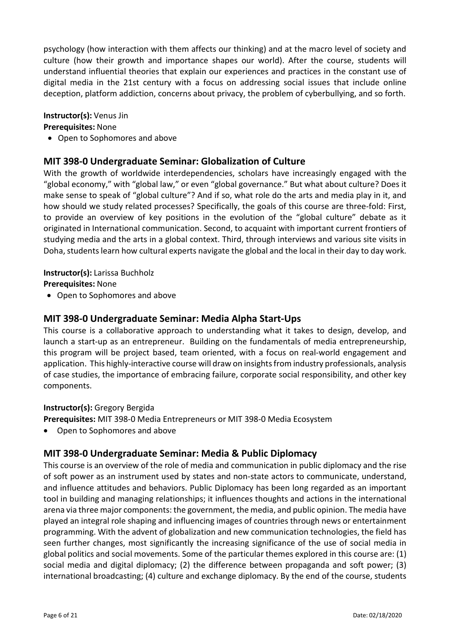psychology (how interaction with them affects our thinking) and at the macro level of society and culture (how their growth and importance shapes our world). After the course, students will understand influential theories that explain our experiences and practices in the constant use of digital media in the 21st century with a focus on addressing social issues that include online deception, platform addiction, concerns about privacy, the problem of cyberbullying, and so forth.

#### **Instructor(s):** Venus Jin

#### **Prerequisites:** None

• Open to Sophomores and above

## **MIT 398-0 Undergraduate Seminar: Globalization of Culture**

With the growth of worldwide interdependencies, scholars have increasingly engaged with the "global economy," with "global law," or even "global governance." But what about culture? Does it make sense to speak of "global culture"? And if so, what role do the arts and media play in it, and how should we study related processes? Specifically, the goals of this course are three-fold: First, to provide an overview of key positions in the evolution of the "global culture" debate as it originated in International communication. Second, to acquaint with important current frontiers of studying media and the arts in a global context. Third, through interviews and various site visits in Doha, students learn how cultural experts navigate the global and the local in their day to day work.

#### **Instructor(s):** Larissa Buchholz

**Prerequisites:** None

• Open to Sophomores and above

## **MIT 398-0 Undergraduate Seminar: Media Alpha Start-Ups**

This course is a collaborative approach to understanding what it takes to design, develop, and launch a start-up as an entrepreneur. Building on the fundamentals of media entrepreneurship, this program will be project based, team oriented, with a focus on real-world engagement and application. This highly-interactive course will draw on insights from industry professionals, analysis of case studies, the importance of embracing failure, corporate social responsibility, and other key components.

#### **Instructor(s):** Gregory Bergida

**Prerequisites:** MIT 398-0 Media Entrepreneurs or MIT 398-0 Media Ecosystem

• Open to Sophomores and above

## **MIT 398-0 Undergraduate Seminar: Media & Public Diplomacy**

This course is an overview of the role of media and communication in public diplomacy and the rise of soft power as an instrument used by states and non-state actors to communicate, understand, and influence attitudes and behaviors. Public Diplomacy has been long regarded as an important tool in building and managing relationships; it influences thoughts and actions in the international arena via three major components: the government, the media, and public opinion. The media have played an integral role shaping and influencing images of countries through news or entertainment programming. With the advent of globalization and new communication technologies, the field has seen further changes, most significantly the increasing significance of the use of social media in global politics and social movements. Some of the particular themes explored in this course are: (1) social media and digital diplomacy; (2) the difference between propaganda and soft power; (3) international broadcasting; (4) culture and exchange diplomacy. By the end of the course, students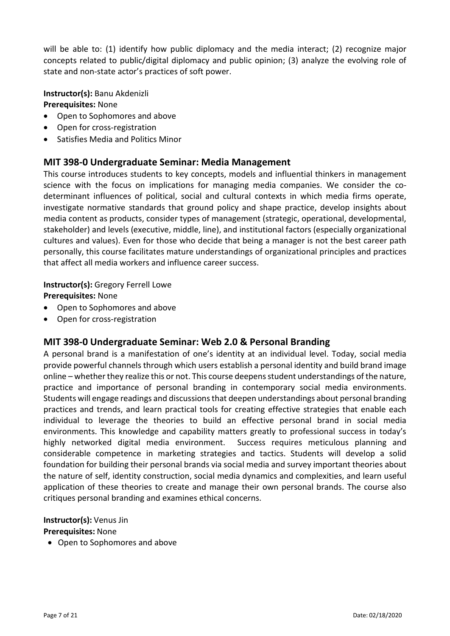will be able to: (1) identify how public diplomacy and the media interact; (2) recognize major concepts related to public/digital diplomacy and public opinion; (3) analyze the evolving role of state and non-state actor's practices of soft power.

**Instructor(s):** Banu Akdenizli **Prerequisites:** None

- Open to Sophomores and above
- Open for cross-registration
- Satisfies Media and Politics Minor

## **MIT 398-0 Undergraduate Seminar: Media Management**

This course introduces students to key concepts, models and influential thinkers in management science with the focus on implications for managing media companies. We consider the codeterminant influences of political, social and cultural contexts in which media firms operate, investigate normative standards that ground policy and shape practice, develop insights about media content as products, consider types of management (strategic, operational, developmental, stakeholder) and levels (executive, middle, line), and institutional factors (especially organizational cultures and values). Even for those who decide that being a manager is not the best career path personally, this course facilitates mature understandings of organizational principles and practices that affect all media workers and influence career success.

#### **Instructor(s):** Gregory Ferrell Lowe

**Prerequisites:** None

- Open to Sophomores and above
- Open for cross-registration

## **MIT 398-0 Undergraduate Seminar: Web 2.0 & Personal Branding**

A personal brand is a manifestation of one's identity at an individual level. Today, social media provide powerful channels through which users establish a personal identity and build brand image online – whether they realize this or not. This course deepens student understandings of the nature, practice and importance of personal branding in contemporary social media environments. Students will engage readings and discussions that deepen understandings about personal branding practices and trends, and learn practical tools for creating effective strategies that enable each individual to leverage the theories to build an effective personal brand in social media environments. This knowledge and capability matters greatly to professional success in today's highly networked digital media environment. Success requires meticulous planning and considerable competence in marketing strategies and tactics. Students will develop a solid foundation for building their personal brands via social media and survey important theories about the nature of self, identity construction, social media dynamics and complexities, and learn useful application of these theories to create and manage their own personal brands. The course also critiques personal branding and examines ethical concerns.

#### **Instructor(s):** Venus Jin

**Prerequisites:** None

• Open to Sophomores and above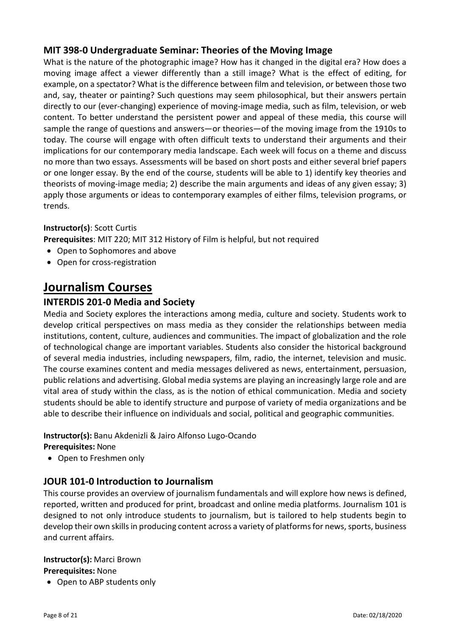## **MIT 398-0 Undergraduate Seminar: Theories of the Moving Image**

What is the nature of the photographic image? How has it changed in the digital era? How does a moving image affect a viewer differently than a still image? What is the effect of editing, for example, on a spectator? What is the difference between film and television, or between those two and, say, theater or painting? Such questions may seem philosophical, but their answers pertain directly to our (ever-changing) experience of moving-image media, such as film, television, or web content. To better understand the persistent power and appeal of these media, this course will sample the range of questions and answers—or theories—of the moving image from the 1910s to today. The course will engage with often difficult texts to understand their arguments and their implications for our contemporary media landscape. Each week will focus on a theme and discuss no more than two essays. Assessments will be based on short posts and either several brief papers or one longer essay. By the end of the course, students will be able to 1) identify key theories and theorists of moving-image media; 2) describe the main arguments and ideas of any given essay; 3) apply those arguments or ideas to contemporary examples of either films, television programs, or trends.

## **Instructor(s)**: Scott Curtis

**Prerequisites**: MIT 220; MIT 312 History of Film is helpful, but not required

- Open to Sophomores and above
- Open for cross-registration

## **Journalism Courses**

## **INTERDIS 201-0 Media and Society**

Media and Society explores the interactions among media, culture and society. Students work to develop critical perspectives on mass media as they consider the relationships between media institutions, content, culture, audiences and communities. The impact of globalization and the role of technological change are important variables. Students also consider the historical background of several media industries, including newspapers, film, radio, the internet, television and music. The course examines content and media messages delivered as news, entertainment, persuasion, public relations and advertising. Global media systems are playing an increasingly large role and are vital area of study within the class, as is the notion of ethical communication. Media and society students should be able to identify structure and purpose of variety of media organizations and be able to describe their influence on individuals and social, political and geographic communities.

#### **Instructor(s):** Banu Akdenizli & Jairo Alfonso Lugo-Ocando

#### **Prerequisites:** None

• Open to Freshmen only

## **JOUR 101-0 Introduction to Journalism**

This course provides an overview of journalism fundamentals and will explore how news is defined, reported, written and produced for print, broadcast and online media platforms. Journalism 101 is designed to not only introduce students to journalism, but is tailored to help students begin to develop their own skills in producing content across a variety of platforms for news, sports, business and current affairs.

#### **Instructor(s):** Marci Brown

#### **Prerequisites:** None

• Open to ABP students only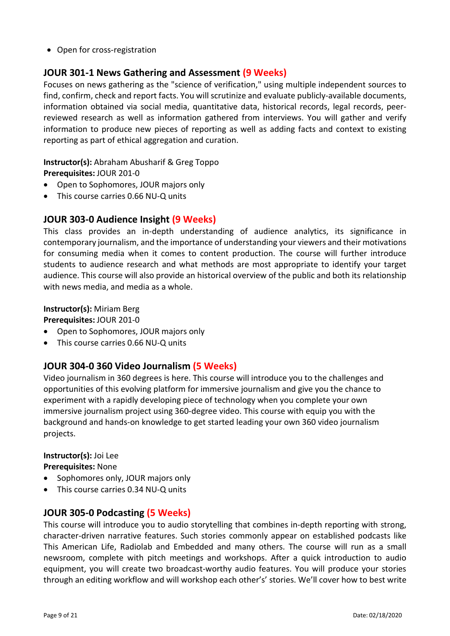• Open for cross-registration

## **JOUR 301-1 News Gathering and Assessment (9 Weeks)**

Focuses on news gathering as the "science of verification," using multiple independent sources to find, confirm, check and report facts. You will scrutinize and evaluate publicly-available documents, information obtained via social media, quantitative data, historical records, legal records, peerreviewed research as well as information gathered from interviews. You will gather and verify information to produce new pieces of reporting as well as adding facts and context to existing reporting as part of ethical aggregation and curation.

#### **Instructor(s):** Abraham Abusharif & Greg Toppo

**Prerequisites:** JOUR 201-0

- Open to Sophomores, JOUR majors only
- This course carries 0.66 NU-Q units

## **JOUR 303-0 Audience Insight (9 Weeks)**

This class provides an in-depth understanding of audience analytics, its significance in contemporary journalism, and the importance of understanding your viewers and their motivations for consuming media when it comes to content production. The course will further introduce students to audience research and what methods are most appropriate to identify your target audience. This course will also provide an historical overview of the public and both its relationship with news media, and media as a whole.

#### **Instructor(s):** Miriam Berg

**Prerequisites:** JOUR 201-0

- Open to Sophomores, JOUR majors only
- This course carries 0.66 NU-Q units

## **JOUR 304-0 360 Video Journalism (5 Weeks)**

Video journalism in 360 degrees is here. This course will introduce you to the challenges and opportunities of this evolving platform for immersive journalism and give you the chance to experiment with a rapidly developing piece of technology when you complete your own immersive journalism project using 360-degree video. This course with equip you with the background and hands-on knowledge to get started leading your own 360 video journalism projects.

## **Instructor(s):** Joi Lee

**Prerequisites:** None

- Sophomores only, JOUR majors only
- This course carries 0.34 NU-Q units

## **JOUR 305-0 Podcasting (5 Weeks)**

This course will introduce you to audio storytelling that combines in-depth reporting with strong, character-driven narrative features. Such stories commonly appear on established podcasts like This American Life, Radiolab and Embedded and many others. The course will run as a small newsroom, complete with pitch meetings and workshops. After a quick introduction to audio equipment, you will create two broadcast-worthy audio features. You will produce your stories through an editing workflow and will workshop each other's' stories. We'll cover how to best write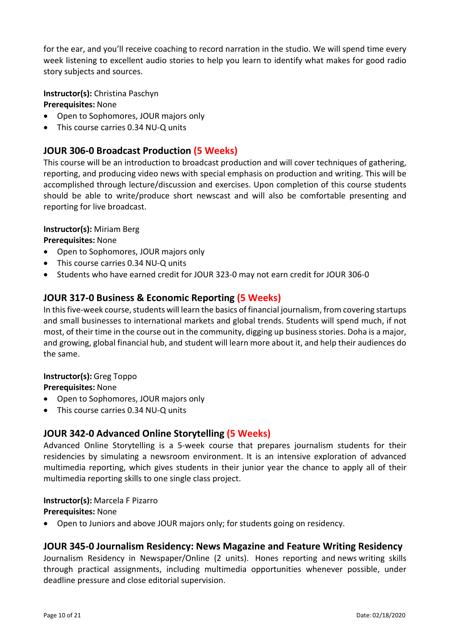for the ear, and you'll receive coaching to record narration in the studio. We will spend time every week listening to excellent audio stories to help you learn to identify what makes for good radio story subjects and sources.

**Instructor(s):** Christina Paschyn **Prerequisites:** None

- Open to Sophomores, JOUR majors only
- This course carries 0.34 NU-Q units

## **JOUR 306-0 Broadcast Production (5 Weeks)**

This course will be an introduction to broadcast production and will cover techniques of gathering, reporting, and producing video news with special emphasis on production and writing. This will be accomplished through lecture/discussion and exercises. Upon completion of this course students should be able to write/produce short newscast and will also be comfortable presenting and reporting for live broadcast.

## **Instructor(s):** Miriam Berg

**Prerequisites:** None

- Open to Sophomores, JOUR majors only
- This course carries 0.34 NU-Q units
- Students who have earned credit for JOUR 323-0 may not earn credit for JOUR 306-0

## **JOUR 317-0 Business & Economic Reporting (5 Weeks)**

In this five-week course, students will learn the basics of financial journalism, from covering startups and small businesses to international markets and global trends. Students will spend much, if not most, of their time in the course out in the community, digging up business stories. Doha is a major, and growing, global financial hub, and student will learn more about it, and help their audiences do the same.

#### **Instructor(s):** Greg Toppo

**Prerequisites:** None

- Open to Sophomores, JOUR majors only
- This course carries 0.34 NU-Q units

## **JOUR 342-0 Advanced Online Storytelling (5 Weeks)**

Advanced Online Storytelling is a 5-week course that prepares journalism students for their residencies by simulating a newsroom environment. It is an intensive exploration of advanced multimedia reporting, which gives students in their junior year the chance to apply all of their multimedia reporting skills to one single class project.

#### **Instructor(s):** Marcela F Pizarro

#### **Prerequisites:** None

• Open to Juniors and above JOUR majors only; for students going on residency.

#### **JOUR 345-0 Journalism Residency: News Magazine and Feature Writing Residency**

Journalism Residency in Newspaper/Online (2 units). Hones reporting and news writing skills through practical assignments, including multimedia opportunities whenever possible, under deadline pressure and close editorial supervision.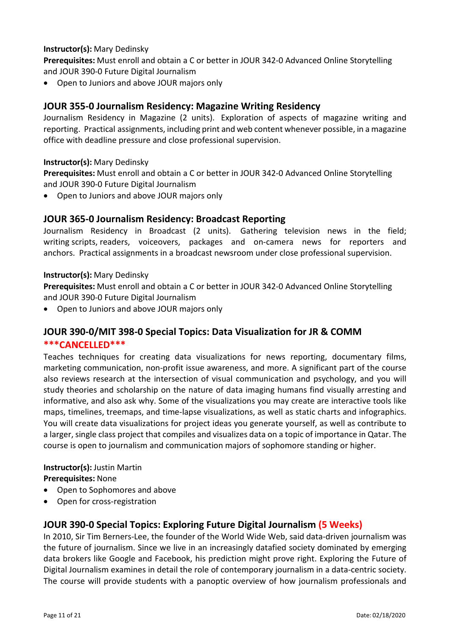## **Instructor(s):** Mary Dedinsky

**Prerequisites:** Must enroll and obtain a C or better in JOUR 342-0 Advanced Online Storytelling and JOUR 390-0 Future Digital Journalism

• Open to Juniors and above JOUR majors only

## **JOUR 355-0 Journalism Residency: Magazine Writing Residency**

Journalism Residency in Magazine (2 units). Exploration of aspects of magazine writing and reporting. Practical assignments, including print and web content whenever possible, in a magazine office with deadline pressure and close professional supervision.

#### **Instructor(s):** Mary Dedinsky

**Prerequisites:** Must enroll and obtain a C or better in JOUR 342-0 Advanced Online Storytelling and JOUR 390-0 Future Digital Journalism

• Open to Juniors and above JOUR majors only

## **JOUR 365-0 Journalism Residency: Broadcast Reporting**

Journalism Residency in Broadcast (2 units). Gathering television news in the field; writing scripts, readers, voiceovers, packages and on-camera news for reporters and anchors. Practical assignments in a broadcast newsroom under close professional supervision.

#### **Instructor(s):** Mary Dedinsky

**Prerequisites:** Must enroll and obtain a C or better in JOUR 342-0 Advanced Online Storytelling and JOUR 390-0 Future Digital Journalism

• Open to Juniors and above JOUR majors only

## **JOUR 390-0/MIT 398-0 Special Topics: Data Visualization for JR & COMM \*\*\*CANCELLED\*\*\***

Teaches techniques for creating data visualizations for news reporting, documentary films, marketing communication, non-profit issue awareness, and more. A significant part of the course also reviews research at the intersection of visual communication and psychology, and you will study theories and scholarship on the nature of data imaging humans find visually arresting and informative, and also ask why. Some of the visualizations you may create are interactive tools like maps, timelines, treemaps, and time-lapse visualizations, as well as static charts and infographics. You will create data visualizations for project ideas you generate yourself, as well as contribute to a larger, single class project that compiles and visualizes data on a topic of importance in Qatar. The course is open to journalism and communication majors of sophomore standing or higher.

**Instructor(s):** Justin Martin **Prerequisites:** None

- Open to Sophomores and above
- Open for cross-registration

## **JOUR 390-0 Special Topics: Exploring Future Digital Journalism (5 Weeks)**

In 2010, Sir Tim Berners-Lee, the founder of the World Wide Web, said data-driven journalism was the future of journalism. Since we live in an increasingly datafied society dominated by emerging data brokers like Google and Facebook, his prediction might prove right. Exploring the Future of Digital Journalism examines in detail the role of contemporary journalism in a data-centric society. The course will provide students with a panoptic overview of how journalism professionals and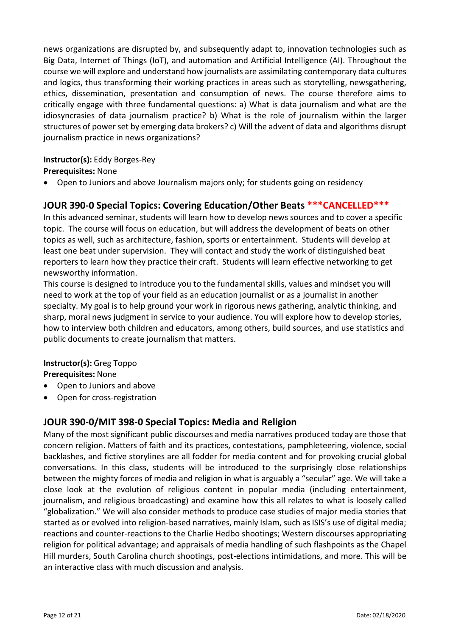news organizations are disrupted by, and subsequently adapt to, innovation technologies such as Big Data, Internet of Things (IoT), and automation and Artificial Intelligence (AI). Throughout the course we will explore and understand how journalists are assimilating contemporary data cultures and logics, thus transforming their working practices in areas such as storytelling, newsgathering, ethics, dissemination, presentation and consumption of news. The course therefore aims to critically engage with three fundamental questions: a) What is data journalism and what are the idiosyncrasies of data journalism practice? b) What is the role of journalism within the larger structures of power set by emerging data brokers? c) Will the advent of data and algorithms disrupt journalism practice in news organizations?

#### **Instructor(s):** Eddy Borges-Rey

#### **Prerequisites:** None

• Open to Juniors and above Journalism majors only; for students going on residency

## **JOUR 390-0 Special Topics: Covering Education/Other Beats \*\*\*CANCELLED\*\*\***

In this advanced seminar, students will learn how to develop news sources and to cover a specific topic. The course will focus on education, but will address the development of beats on other topics as well, such as architecture, fashion, sports or entertainment. Students will develop at least one beat under supervision. They will contact and study the work of distinguished beat reporters to learn how they practice their craft. Students will learn effective networking to get newsworthy information.

This course is designed to introduce you to the fundamental skills, values and mindset you will need to work at the top of your field as an education journalist or as a journalist in another specialty. My goal is to help ground your work in rigorous news gathering, analytic thinking, and sharp, moral news judgment in service to your audience. You will explore how to develop stories, how to interview both children and educators, among others, build sources, and use statistics and public documents to create journalism that matters.

#### **Instructor(s):** Greg Toppo **Prerequisites:** None

- Open to Juniors and above
- Open for cross-registration

## **JOUR 390-0/MIT 398-0 Special Topics: Media and Religion**

Many of the most significant public discourses and media narratives produced today are those that concern religion. Matters of faith and its practices, contestations, pamphleteering, violence, social backlashes, and fictive storylines are all fodder for media content and for provoking crucial global conversations. In this class, students will be introduced to the surprisingly close relationships between the mighty forces of media and religion in what is arguably a "secular" age. We will take a close look at the evolution of religious content in popular media (including entertainment, journalism, and religious broadcasting) and examine how this all relates to what is loosely called "globalization." We will also consider methods to produce case studies of major media stories that started as or evolved into religion-based narratives, mainly Islam, such as ISIS's use of digital media; reactions and counter-reactions to the Charlie Hedbo shootings; Western discourses appropriating religion for political advantage; and appraisals of media handling of such flashpoints as the Chapel Hill murders, South Carolina church shootings, post-elections intimidations, and more. This will be an interactive class with much discussion and analysis.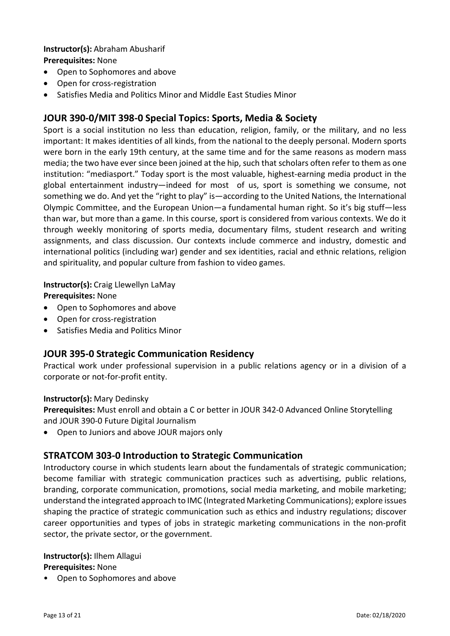#### **Instructor(s):** Abraham Abusharif **Prerequisites:** None

- Open to Sophomores and above
- Open for cross-registration
- Satisfies Media and Politics Minor and Middle East Studies Minor

## **JOUR 390-0/MIT 398-0 Special Topics: Sports, Media & Society**

Sport is a social institution no less than education, religion, family, or the military, and no less important: It makes identities of all kinds, from the national to the deeply personal. Modern sports were born in the early 19th century, at the same time and for the same reasons as modern mass media; the two have ever since been joined at the hip, such that scholars often refer to them as one institution: "mediasport." Today sport is the most valuable, highest-earning media product in the global entertainment industry—indeed for most of us, sport is something we consume, not something we do. And yet the "right to play" is—according to the United Nations, the International Olympic Committee, and the European Union—a fundamental human right. So it's big stuff—less than war, but more than a game. In this course, sport is considered from various contexts. We do it through weekly monitoring of sports media, documentary films, student research and writing assignments, and class discussion. Our contexts include commerce and industry, domestic and international politics (including war) gender and sex identities, racial and ethnic relations, religion and spirituality, and popular culture from fashion to video games.

**Instructor(s):** Craig Llewellyn LaMay

**Prerequisites:** None

- Open to Sophomores and above
- Open for cross-registration
- Satisfies Media and Politics Minor

#### **JOUR 395-0 Strategic Communication Residency**

Practical work under professional supervision in a public relations agency or in a division of a corporate or not-for-profit entity.

#### **Instructor(s):** Mary Dedinsky

**Prerequisites:** Must enroll and obtain a C or better in JOUR 342-0 Advanced Online Storytelling and JOUR 390-0 Future Digital Journalism

• Open to Juniors and above JOUR majors only

#### **STRATCOM 303-0 Introduction to Strategic Communication**

Introductory course in which students learn about the fundamentals of strategic communication; become familiar with strategic communication practices such as advertising, public relations, branding, corporate communication, promotions, social media marketing, and mobile marketing; understand the integrated approach to IMC (Integrated Marketing Communications); explore issues shaping the practice of strategic communication such as ethics and industry regulations; discover career opportunities and types of jobs in strategic marketing communications in the non-profit sector, the private sector, or the government.

#### **Instructor(s):** Ilhem Allagui

#### **Prerequisites:** None

• Open to Sophomores and above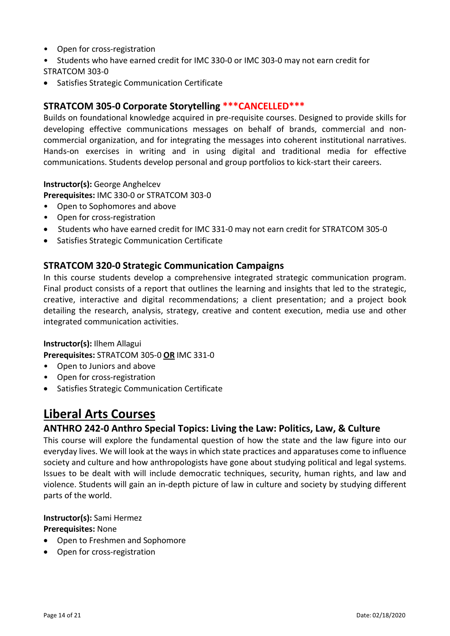- Open for cross-registration
- Students who have earned credit for IMC 330-0 or IMC 303-0 may not earn credit for STRATCOM 303-0
- Satisfies Strategic Communication Certificate

## **STRATCOM 305-0 Corporate Storytelling \*\*\*CANCELLED\*\*\***

Builds on foundational knowledge acquired in pre-requisite courses. Designed to provide skills for developing effective communications messages on behalf of brands, commercial and noncommercial organization, and for integrating the messages into coherent institutional narratives. Hands-on exercises in writing and in using digital and traditional media for effective communications. Students develop personal and group portfolios to kick-start their careers.

**Instructor(s):** George Anghelcev

**Prerequisites:** IMC 330-0 or STRATCOM 303-0

- Open to Sophomores and above
- Open for cross-registration
- Students who have earned credit for IMC 331-0 may not earn credit for STRATCOM 305-0
- Satisfies Strategic Communication Certificate

#### **STRATCOM 320-0 Strategic Communication Campaigns**

In this course students develop a comprehensive integrated strategic communication program. Final product consists of a report that outlines the learning and insights that led to the strategic, creative, interactive and digital recommendations; a client presentation; and a project book detailing the research, analysis, strategy, creative and content execution, media use and other integrated communication activities.

#### **Instructor(s):** Ilhem Allagui

**Prerequisites:** STRATCOM 305-0 **OR** IMC 331-0

- Open to Juniors and above
- Open for cross-registration
- Satisfies Strategic Communication Certificate

## **Liberal Arts Courses**

## **ANTHRO 242-0 Anthro Special Topics: Living the Law: Politics, Law, & Culture**

This course will explore the fundamental question of how the state and the law figure into our everyday lives. We will look at the ways in which state practices and apparatuses come to influence society and culture and how anthropologists have gone about studying political and legal systems. Issues to be dealt with will include democratic techniques, security, human rights, and law and violence. Students will gain an in-depth picture of law in culture and society by studying different parts of the world.

#### **Instructor(s):** Sami Hermez

**Prerequisites:** None

- Open to Freshmen and Sophomore
- Open for cross-registration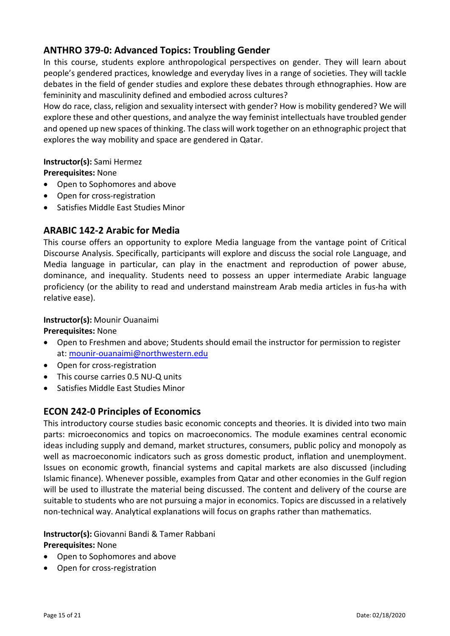## **ANTHRO 379-0: Advanced Topics: Troubling Gender**

In this course, students explore anthropological perspectives on gender. They will learn about people's gendered practices, knowledge and everyday lives in a range of societies. They will tackle debates in the field of gender studies and explore these debates through ethnographies. How are femininity and masculinity defined and embodied across cultures?

How do race, class, religion and sexuality intersect with gender? How is mobility gendered? We will explore these and other questions, and analyze the way feminist intellectuals have troubled gender and opened up new spaces of thinking. The class will work together on an ethnographic project that explores the way mobility and space are gendered in Qatar.

## **Instructor(s):** Sami Hermez

**Prerequisites:** None

- Open to Sophomores and above
- Open for cross-registration
- Satisfies Middle East Studies Minor

## **ARABIC 142-2 Arabic for Media**

This course offers an opportunity to explore Media language from the vantage point of Critical Discourse Analysis. Specifically, participants will explore and discuss the social role Language, and Media language in particular, can play in the enactment and reproduction of power abuse, dominance, and inequality. Students need to possess an upper intermediate Arabic language proficiency (or the ability to read and understand mainstream Arab media articles in fus-ha with relative ease).

#### **Instructor(s):** Mounir Ouanaimi

**Prerequisites:** None

- Open to Freshmen and above; Students should email the instructor for permission to register at: [mounir-ouanaimi@northwestern.edu](mailto:mounir-ouanaimi@northwestern.edu)
- Open for cross-registration
- This course carries 0.5 NU-Q units
- Satisfies Middle East Studies Minor

## **ECON 242-0 Principles of Economics**

This introductory course studies basic economic concepts and theories. It is divided into two main parts: microeconomics and topics on macroeconomics. The module examines central economic ideas including supply and demand, market structures, consumers, public policy and monopoly as well as macroeconomic indicators such as gross domestic product, inflation and unemployment. Issues on economic growth, financial systems and capital markets are also discussed (including Islamic finance). Whenever possible, examples from Qatar and other economies in the Gulf region will be used to illustrate the material being discussed. The content and delivery of the course are suitable to students who are not pursuing a major in economics. Topics are discussed in a relatively non-technical way. Analytical explanations will focus on graphs rather than mathematics.

**Instructor(s):** Giovanni Bandi & Tamer Rabbani **Prerequisites:** None

- Open to Sophomores and above
- Open for cross-registration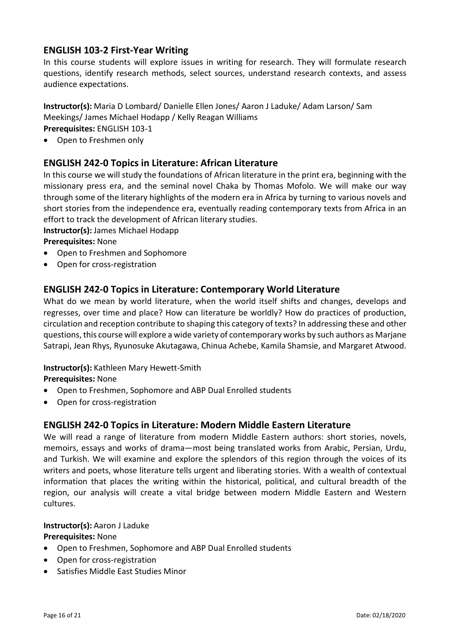## **ENGLISH 103-2 First-Year Writing**

In this course students will explore issues in writing for research. They will formulate research questions, identify research methods, select sources, understand research contexts, and assess audience expectations.

**Instructor(s):** Maria D Lombard/ Danielle Ellen Jones/ Aaron J Laduke/ Adam Larson/ Sam Meekings/ James Michael Hodapp / Kelly Reagan Williams

**Prerequisites:** ENGLISH 103-1

• Open to Freshmen only

## **ENGLISH 242-0 Topics in Literature: African Literature**

In this course we will study the foundations of African literature in the print era, beginning with the missionary press era, and the seminal novel Chaka by Thomas Mofolo. We will make our way through some of the literary highlights of the modern era in Africa by turning to various novels and short stories from the independence era, eventually reading contemporary texts from Africa in an effort to track the development of African literary studies.

#### **Instructor(s):** James Michael Hodapp

**Prerequisites:** None

- Open to Freshmen and Sophomore
- Open for cross-registration

#### **ENGLISH 242-0 Topics in Literature: Contemporary World Literature**

What do we mean by world literature, when the world itself shifts and changes, develops and regresses, over time and place? How can literature be worldly? How do practices of production, circulation and reception contribute to shaping this category of texts? In addressing these and other questions, this course will explore a wide variety of contemporary works by such authors as Marjane Satrapi, Jean Rhys, Ryunosuke Akutagawa, Chinua Achebe, Kamila Shamsie, and Margaret Atwood.

#### **Instructor(s):** Kathleen Mary Hewett-Smith

**Prerequisites:** None

- Open to Freshmen, Sophomore and ABP Dual Enrolled students
- Open for cross-registration

#### **ENGLISH 242-0 Topics in Literature: Modern Middle Eastern Literature**

We will read a range of literature from modern Middle Eastern authors: short stories, novels, memoirs, essays and works of drama—most being translated works from Arabic, Persian, Urdu, and Turkish. We will examine and explore the splendors of this region through the voices of its writers and poets, whose literature tells urgent and liberating stories. With a wealth of contextual information that places the writing within the historical, political, and cultural breadth of the region, our analysis will create a vital bridge between modern Middle Eastern and Western cultures.

#### **Instructor(s):** Aaron J Laduke

#### **Prerequisites:** None

- Open to Freshmen, Sophomore and ABP Dual Enrolled students
- Open for cross-registration
- Satisfies Middle East Studies Minor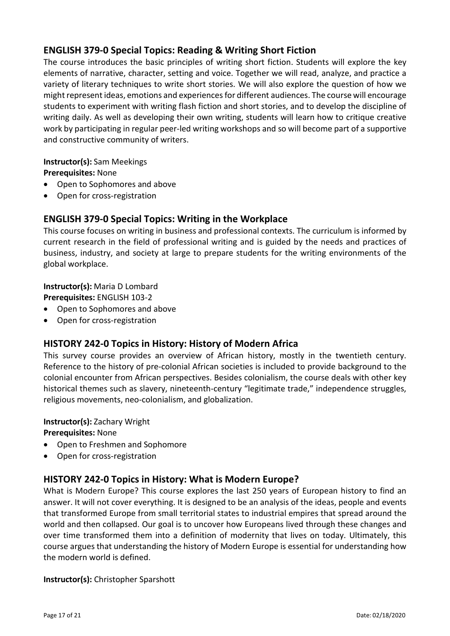## **ENGLISH 379-0 Special Topics: Reading & Writing Short Fiction**

The course introduces the basic principles of writing short fiction. Students will explore the key elements of narrative, character, setting and voice. Together we will read, analyze, and practice a variety of literary techniques to write short stories. We will also explore the question of how we might represent ideas, emotions and experiences for different audiences. The course will encourage students to experiment with writing flash fiction and short stories, and to develop the discipline of writing daily. As well as developing their own writing, students will learn how to critique creative work by participating in regular peer-led writing workshops and so will become part of a supportive and constructive community of writers.

#### **Instructor(s):** Sam Meekings **Prerequisites:** None

- Open to Sophomores and above
- Open for cross-registration

## **ENGLISH 379-0 Special Topics: Writing in the Workplace**

This course focuses on writing in business and professional contexts. The curriculum is informed by current research in the field of professional writing and is guided by the needs and practices of business, industry, and society at large to prepare students for the writing environments of the global workplace.

#### **Instructor(s):** Maria D Lombard

**Prerequisites:** ENGLISH 103-2

- Open to Sophomores and above
- Open for cross-registration

#### **HISTORY 242-0 Topics in History: History of Modern Africa**

This survey course provides an overview of African history, mostly in the twentieth century. Reference to the history of pre-colonial African societies is included to provide background to the colonial encounter from African perspectives. Besides colonialism, the course deals with other key historical themes such as slavery, nineteenth-century "legitimate trade," independence struggles, religious movements, neo-colonialism, and globalization.

## **Instructor(s):** Zachary Wright

**Prerequisites:** None

- Open to Freshmen and Sophomore
- Open for cross-registration

## **HISTORY 242-0 Topics in History: What is Modern Europe?**

What is Modern Europe? This course explores the last 250 years of European history to find an answer. It will not cover everything. It is designed to be an analysis of the ideas, people and events that transformed Europe from small territorial states to industrial empires that spread around the world and then collapsed. Our goal is to uncover how Europeans lived through these changes and over time transformed them into a definition of modernity that lives on today. Ultimately, this course argues that understanding the history of Modern Europe is essential for understanding how the modern world is defined.

#### **Instructor(s):** Christopher Sparshott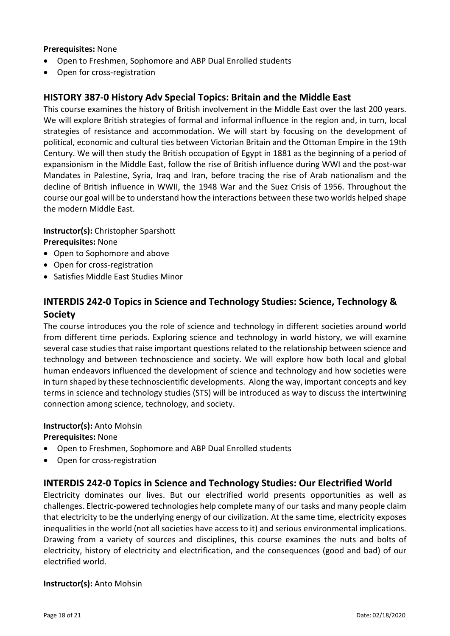#### **Prerequisites:** None

- Open to Freshmen, Sophomore and ABP Dual Enrolled students
- Open for cross-registration

## **HISTORY 387-0 History Adv Special Topics: Britain and the Middle East**

This course examines the history of British involvement in the Middle East over the last 200 years. We will explore British strategies of formal and informal influence in the region and, in turn, local strategies of resistance and accommodation. We will start by focusing on the development of political, economic and cultural ties between Victorian Britain and the Ottoman Empire in the 19th Century. We will then study the British occupation of Egypt in 1881 as the beginning of a period of expansionism in the Middle East, follow the rise of British influence during WWI and the post-war Mandates in Palestine, Syria, Iraq and Iran, before tracing the rise of Arab nationalism and the decline of British influence in WWII, the 1948 War and the Suez Crisis of 1956. Throughout the course our goal will be to understand how the interactions between these two worlds helped shape the modern Middle East.

**Instructor(s):** Christopher Sparshott **Prerequisites:** None

- Open to Sophomore and above
- Open for cross-registration
- Satisfies Middle East Studies Minor

## **INTERDIS 242-0 Topics in Science and Technology Studies: Science, Technology & Society**

The course introduces you the role of science and technology in different societies around world from different time periods. Exploring science and technology in world history, we will examine several case studies that raise important questions related to the relationship between science and technology and between technoscience and society. We will explore how both local and global human endeavors influenced the development of science and technology and how societies were in turn shaped by these technoscientific developments. Along the way, important concepts and key terms in science and technology studies (STS) will be introduced as way to discuss the intertwining connection among science, technology, and society.

#### **Instructor(s):** Anto Mohsin

**Prerequisites:** None

- Open to Freshmen, Sophomore and ABP Dual Enrolled students
- Open for cross-registration

## **INTERDIS 242-0 Topics in Science and Technology Studies: Our Electrified World**

Electricity dominates our lives. But our electrified world presents opportunities as well as challenges. Electric-powered technologies help complete many of our tasks and many people claim that electricity to be the underlying energy of our civilization. At the same time, electricity exposes inequalities in the world (not all societies have access to it) and serious environmental implications. Drawing from a variety of sources and disciplines, this course examines the nuts and bolts of electricity, history of electricity and electrification, and the consequences (good and bad) of our electrified world.

#### **Instructor(s):** Anto Mohsin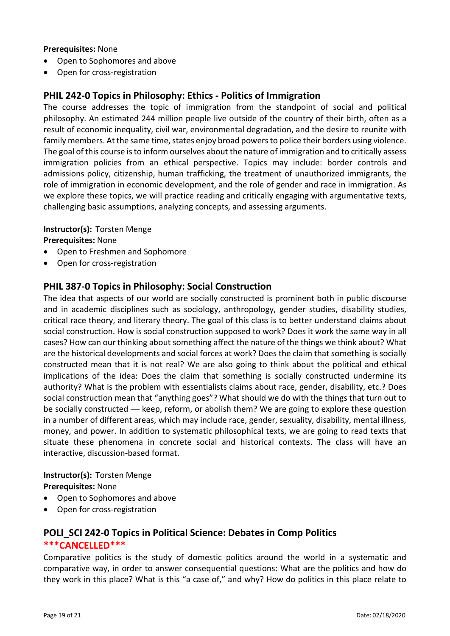#### **Prerequisites:** None

- Open to Sophomores and above
- Open for cross-registration

## **PHIL 242-0 Topics in Philosophy: Ethics - Politics of Immigration**

The course addresses the topic of immigration from the standpoint of social and political philosophy. An estimated 244 million people live outside of the country of their birth, often as a result of economic inequality, civil war, environmental degradation, and the desire to reunite with family members. At the same time, states enjoy broad powers to police their borders using violence. The goal of this course is to inform ourselves about the nature of immigration and to critically assess immigration policies from an ethical perspective. Topics may include: border controls and admissions policy, citizenship, human trafficking, the treatment of unauthorized immigrants, the role of immigration in economic development, and the role of gender and race in immigration. As we explore these topics, we will practice reading and critically engaging with argumentative texts, challenging basic assumptions, analyzing concepts, and assessing arguments.

**Instructor(s):** Torsten Menge

**Prerequisites:** None

- Open to Freshmen and Sophomore
- Open for cross-registration

## **PHIL 387-0 Topics in Philosophy: Social Construction**

The idea that aspects of our world are socially constructed is prominent both in public discourse and in academic disciplines such as sociology, anthropology, gender studies, disability studies, critical race theory, and literary theory. The goal of this class is to better understand claims about social construction. How is social construction supposed to work? Does it work the same way in all cases? How can our thinking about something affect the nature of the things we think about? What are the historical developments and social forces at work? Does the claim that something is socially constructed mean that it is not real? We are also going to think about the political and ethical implications of the idea: Does the claim that something is socially constructed undermine its authority? What is the problem with essentialists claims about race, gender, disability, etc.? Does social construction mean that "anything goes"? What should we do with the things that turn out to be socially constructed –– keep, reform, or abolish them? We are going to explore these question in a number of different areas, which may include race, gender, sexuality, disability, mental illness, money, and power. In addition to systematic philosophical texts, we are going to read texts that situate these phenomena in concrete social and historical contexts. The class will have an interactive, discussion-based format.

#### **Instructor(s):** Torsten Menge **Prerequisites:** None

- Open to Sophomores and above
- Open for cross-registration

## **POLI\_SCI 242-0 Topics in Political Science: Debates in Comp Politics \*\*\*CANCELLED\*\*\***

Comparative politics is the study of domestic politics around the world in a systematic and comparative way, in order to answer consequential questions: What are the politics and how do they work in this place? What is this "a case of," and why? How do politics in this place relate to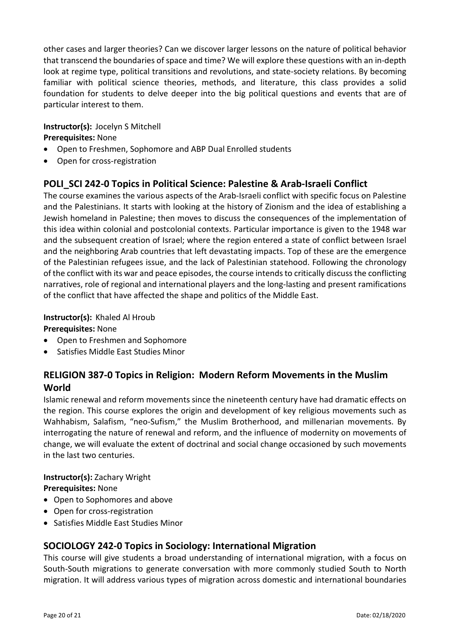other cases and larger theories? Can we discover larger lessons on the nature of political behavior that transcend the boundaries of space and time? We will explore these questions with an in-depth look at regime type, political transitions and revolutions, and state-society relations. By becoming familiar with political science theories, methods, and literature, this class provides a solid foundation for students to delve deeper into the big political questions and events that are of particular interest to them.

#### **Instructor(s):** Jocelyn S Mitchell **Prerequisites:** None

- Open to Freshmen, Sophomore and ABP Dual Enrolled students
- Open for cross-registration

## **POLI\_SCI 242-0 Topics in Political Science: Palestine & Arab-Israeli Conflict**

The course examines the various aspects of the Arab-Israeli conflict with specific focus on Palestine and the Palestinians. It starts with looking at the history of Zionism and the idea of establishing a Jewish homeland in Palestine; then moves to discuss the consequences of the implementation of this idea within colonial and postcolonial contexts. Particular importance is given to the 1948 war and the subsequent creation of Israel; where the region entered a state of conflict between Israel and the neighboring Arab countries that left devastating impacts. Top of these are the emergence of the Palestinian refugees issue, and the lack of Palestinian statehood. Following the chronology of the conflict with its war and peace episodes, the course intends to critically discuss the conflicting narratives, role of regional and international players and the long-lasting and present ramifications of the conflict that have affected the shape and politics of the Middle East.

## **Instructor(s):** Khaled Al Hroub

#### **Prerequisites:** None

- Open to Freshmen and Sophomore
- Satisfies Middle East Studies Minor

## **RELIGION 387-0 Topics in Religion: Modern Reform Movements in the Muslim World**

Islamic renewal and reform movements since the nineteenth century have had dramatic effects on the region. This course explores the origin and development of key religious movements such as Wahhabism, Salafism, "neo-Sufism," the Muslim Brotherhood, and millenarian movements. By interrogating the nature of renewal and reform, and the influence of modernity on movements of change, we will evaluate the extent of doctrinal and social change occasioned by such movements in the last two centuries.

#### **Instructor(s):** Zachary Wright **Prerequisites:** None

- Open to Sophomores and above
- Open for cross-registration
- Satisfies Middle East Studies Minor

## **SOCIOLOGY 242-0 Topics in Sociology: International Migration**

This course will give students a broad understanding of international migration, with a focus on South-South migrations to generate conversation with more commonly studied South to North migration. It will address various types of migration across domestic and international boundaries